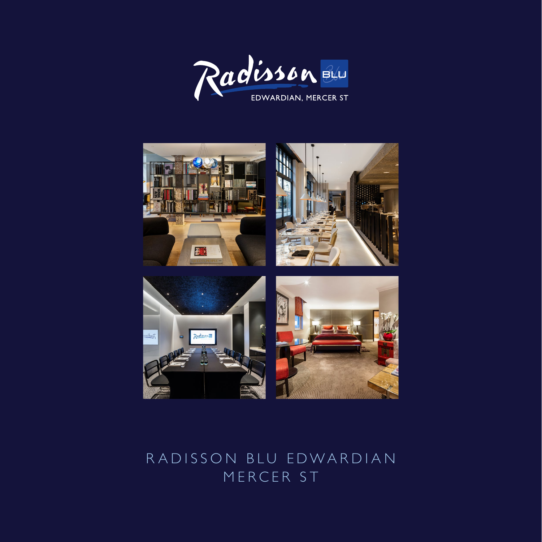



## RADISSON BLU EDWARDIAN MERCER ST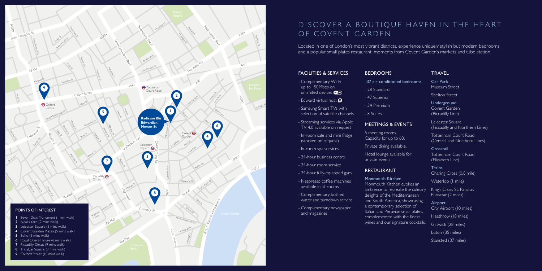#### FACILITIES & SERVICES

- Complimentary Wi-Fi up to 150Mbps on unlimited devices **WIFI**
- Edward virtual host  $\bigcirc$
- Samsung Smart TVs with selection of satellite channels
- Streaming services via Apple TV 4.0 available on request
- In-room safe and mini fridge (stocked on request)
- In-room spa services
- 24-hour business centre
- 24-hour room service
- 24-hour fully-equipped gym
- Nespresso coffee machines available in all rooms
- Complimentary bottled water and turndown service
- Complimentary newspaper and magazines
- 137 air-conditioned bed
- 28 Standard
- 47 Superior
- 54 Premium
- 8 Suites

### MEETINGS & EVENT

Hotel lounge available for private events.

Monmouth Kitchen Monmouth Kitchen evo ambience to recreate the delights of the Mediterra and South America, sho a contemporary selection Italian and Peruvian sma complemented with the wines and our signature

### **TRAVEL**

| <b>rooms</b>                                                                                                   | Car Park<br>Museum Street                             |
|----------------------------------------------------------------------------------------------------------------|-------------------------------------------------------|
|                                                                                                                | <b>Shelton Street</b>                                 |
|                                                                                                                | Underground<br>Covent Garden<br>(Piccadilly Line)     |
| S.                                                                                                             | Leicester Square<br>(Piccadilly and Northern Lines)   |
|                                                                                                                | Tottenham Court Road<br>(Central and Northern Lines)  |
| σr                                                                                                             | Crossrail<br>Tottenham Court Road<br>(Elizabeth Line) |
|                                                                                                                | <b>Trains</b><br>Charing Cross (0.8 mile)             |
| kes an<br>e culinary -<br>anean<br>wcasing<br>$\overline{\mathsf{p}}$ of<br>Il plates,<br>finest<br>cocktails. | Waterloo (I mile)                                     |
|                                                                                                                | King's Cross St. Pancras<br>Eurostar (2 miles)        |
|                                                                                                                | Airport<br>City Airport (10 miles)                    |
|                                                                                                                | Heathrow (18 miles)                                   |
|                                                                                                                | Gatwick (28 miles)                                    |
|                                                                                                                | Luton (35 miles)                                      |
|                                                                                                                |                                                       |

Stansted (37 miles)

Located in one of London's most vibrant districts, experience uniquely stylish but modern bedrooms and a popular small plates restaurant, moments from Covent Garden's markets and tube station.

#### BEDROOMS

5 meeting rooms. Capacity for up to 60.

Private dining available.

### RESTAURANT

# DISCOVER A BOUTIQUE HAVEN IN THE HEART OF COVENT GARDEN